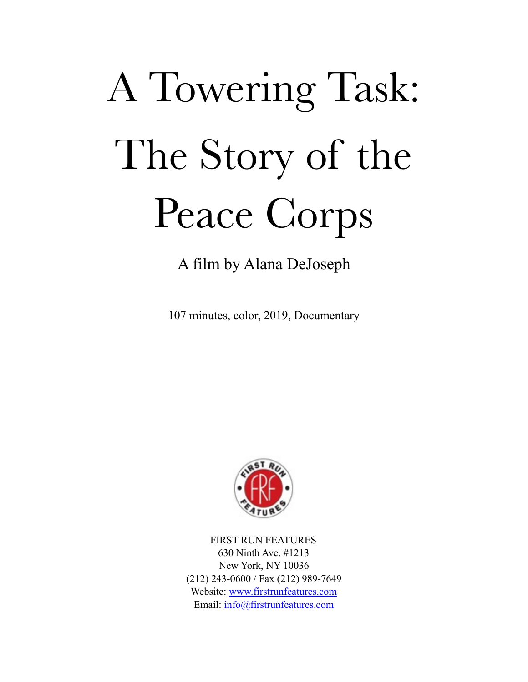# A Towering Task: The Story of the Peace Corps

A film by Alana DeJoseph

107 minutes, color, 2019, Documentary



FIRST RUN FEATURES 630 Ninth Ave. #1213 New York, NY 10036 (212) 243-0600 / Fax (212) 989-7649 Website: [www.firstrunfeatures.com](http://www.firstrunfeatures.com) Email: [info@firstrunfeatures.com](mailto:info@firstrunfeatures.com)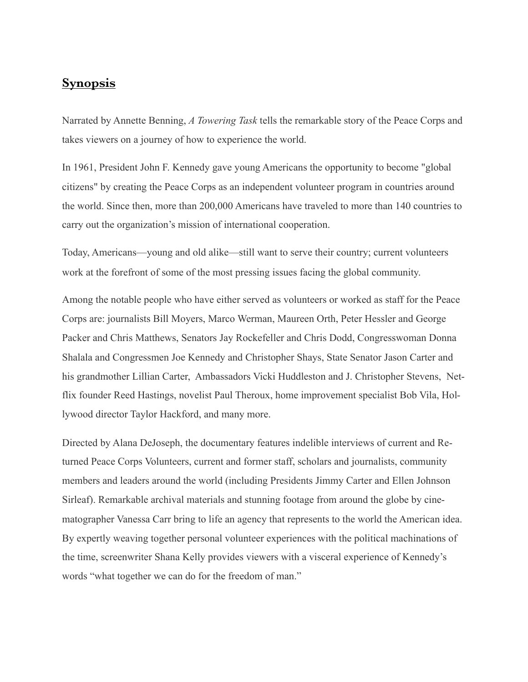## **Synopsis**

Narrated by Annette Benning, *A Towering Task* tells the remarkable story of the Peace Corps and takes viewers on a journey of how to experience the world.

In 1961, President John F. Kennedy gave young Americans the opportunity to become "global citizens" by creating the Peace Corps as an independent volunteer program in countries around the world. Since then, more than 200,000 Americans have traveled to more than 140 countries to carry out the organization's mission of international cooperation.

Today, Americans—young and old alike—still want to serve their country; current volunteers work at the forefront of some of the most pressing issues facing the global community.

Among the notable people who have either served as volunteers or worked as staff for the Peace Corps are: journalists Bill Moyers, Marco Werman, Maureen Orth, Peter Hessler and George Packer and Chris Matthews, Senators Jay Rockefeller and Chris Dodd, Congresswoman Donna Shalala and Congressmen Joe Kennedy and Christopher Shays, State Senator Jason Carter and his grandmother Lillian Carter, Ambassadors Vicki Huddleston and J. Christopher Stevens, Netflix founder Reed Hastings, novelist Paul Theroux, home improvement specialist Bob Vila, Hollywood director Taylor Hackford, and many more.

Directed by Alana DeJoseph, the documentary features indelible interviews of current and Returned Peace Corps Volunteers, current and former staff, scholars and journalists, community members and leaders around the world (including Presidents Jimmy Carter and Ellen Johnson Sirleaf). Remarkable archival materials and stunning footage from around the globe by cinematographer Vanessa Carr bring to life an agency that represents to the world the American idea. By expertly weaving together personal volunteer experiences with the political machinations of the time, screenwriter Shana Kelly provides viewers with a visceral experience of Kennedy's words "what together we can do for the freedom of man."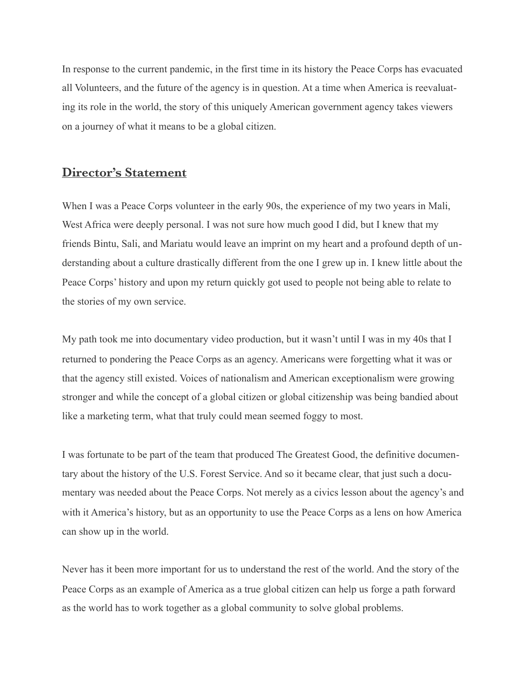In response to the current pandemic, in the first time in its history the Peace Corps has evacuated all Volunteers, and the future of the agency is in question. At a time when America is reevaluating its role in the world, the story of this uniquely American government agency takes viewers on a journey of what it means to be a global citizen.

## **Director's Statement**

When I was a Peace Corps volunteer in the early 90s, the experience of my two years in Mali, West Africa were deeply personal. I was not sure how much good I did, but I knew that my friends Bintu, Sali, and Mariatu would leave an imprint on my heart and a profound depth of understanding about a culture drastically different from the one I grew up in. I knew little about the Peace Corps' history and upon my return quickly got used to people not being able to relate to the stories of my own service.

My path took me into documentary video production, but it wasn't until I was in my 40s that I returned to pondering the Peace Corps as an agency. Americans were forgetting what it was or that the agency still existed. Voices of nationalism and American exceptionalism were growing stronger and while the concept of a global citizen or global citizenship was being bandied about like a marketing term, what that truly could mean seemed foggy to most.

I was fortunate to be part of the team that produced The Greatest Good, the definitive documentary about the history of the U.S. Forest Service. And so it became clear, that just such a documentary was needed about the Peace Corps. Not merely as a civics lesson about the agency's and with it America's history, but as an opportunity to use the Peace Corps as a lens on how America can show up in the world.

Never has it been more important for us to understand the rest of the world. And the story of the Peace Corps as an example of America as a true global citizen can help us forge a path forward as the world has to work together as a global community to solve global problems.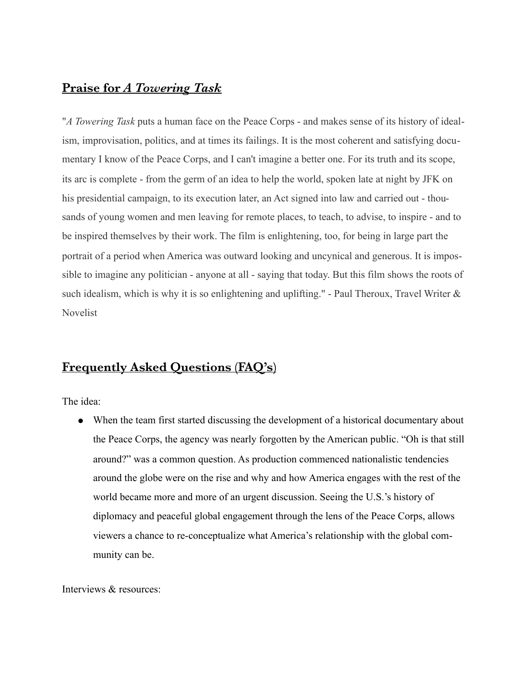## **Praise for** *A Towering Task*

"*A Towering Task* puts a human face on the Peace Corps - and makes sense of its history of idealism, improvisation, politics, and at times its failings. It is the most coherent and satisfying documentary I know of the Peace Corps, and I can't imagine a better one. For its truth and its scope, its arc is complete - from the germ of an idea to help the world, spoken late at night by JFK on his presidential campaign, to its execution later, an Act signed into law and carried out - thousands of young women and men leaving for remote places, to teach, to advise, to inspire - and to be inspired themselves by their work. The film is enlightening, too, for being in large part the portrait of a period when America was outward looking and uncynical and generous. It is impossible to imagine any politician - anyone at all - saying that today. But this film shows the roots of such idealism, which is why it is so enlightening and uplifting." - Paul Theroux, Travel Writer & Novelist

# **Frequently Asked Questions (FAQ's)**

The idea:

• When the team first started discussing the development of a historical documentary about the Peace Corps, the agency was nearly forgotten by the American public. "Oh is that still around?" was a common question. As production commenced nationalistic tendencies around the globe were on the rise and why and how America engages with the rest of the world became more and more of an urgent discussion. Seeing the U.S.'s history of diplomacy and peaceful global engagement through the lens of the Peace Corps, allows viewers a chance to re-conceptualize what America's relationship with the global community can be.

Interviews & resources: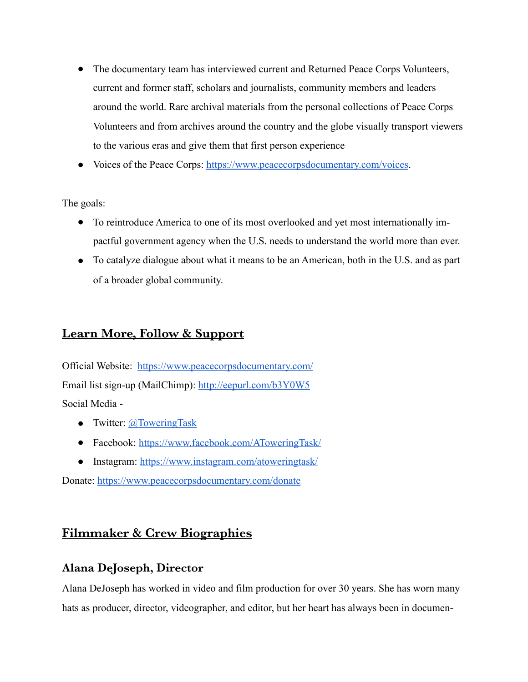- The documentary team has interviewed current and Returned Peace Corps Volunteers, current and former staff, scholars and journalists, community members and leaders around the world. Rare archival materials from the personal collections of Peace Corps Volunteers and from archives around the country and the globe visually transport viewers to the various eras and give them that first person experience
- Voices of the Peace Corps: [https://www.peacecorpsdocumentary.com/voices.](https://www.peacecorpsdocumentary.com/voices)

The goals:

- To reintroduce America to one of its most overlooked and yet most internationally impactful government agency when the U.S. needs to understand the world more than ever.
- To catalyze dialogue about what it means to be an American, both in the U.S. and as part of a broader global community.

## **Learn More, Follow & Support**

Official Website: <https://www.peacecorpsdocumentary.com/> Email list sign-up (MailChimp): <http://eepurl.com/b3Y0W5> Social Media -

- Twitter:  $@$ ToweringTask
- Facebook: <https://www.facebook.com/AToweringTask/>
- Instagram:<https://www.instagram.com/atoweringtask/>

Donate: <https://www.peacecorpsdocumentary.com/donate>

## **Filmmaker & Crew Biographies**

## **Alana DeJoseph, Director**

Alana DeJoseph has worked in video and film production for over 30 years. She has worn many hats as producer, director, videographer, and editor, but her heart has always been in documen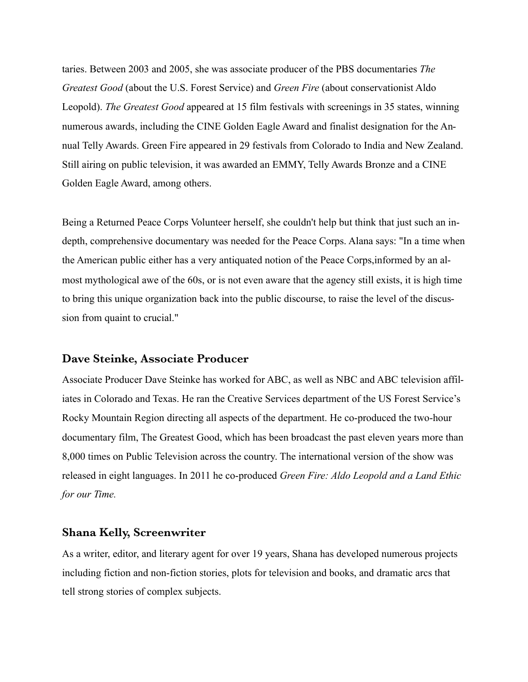taries. Between 2003 and 2005, she was associate producer of the PBS documentaries *The Greatest Good* (about the U.S. Forest Service) and *Green Fire* (about conservationist Aldo Leopold). *The Greatest Good* appeared at 15 film festivals with screenings in 35 states, winning numerous awards, including the CINE Golden Eagle Award and finalist designation for the Annual Telly Awards. Green Fire appeared in 29 festivals from Colorado to India and New Zealand. Still airing on public television, it was awarded an EMMY, Telly Awards Bronze and a CINE Golden Eagle Award, among others.

Being a Returned Peace Corps Volunteer herself, she couldn't help but think that just such an indepth, comprehensive documentary was needed for the Peace Corps. Alana says: "In a time when the American public either has a very antiquated notion of the Peace Corps,informed by an almost mythological awe of the 60s, or is not even aware that the agency still exists, it is high time to bring this unique organization back into the public discourse, to raise the level of the discussion from quaint to crucial."

#### **Dave Steinke, Associate Producer**

Associate Producer Dave Steinke has worked for ABC, as well as NBC and ABC television affiliates in Colorado and Texas. He ran the Creative Services department of the US Forest Service's Rocky Mountain Region directing all aspects of the department. He co-produced the two-hour documentary film, The Greatest Good, which has been broadcast the past eleven years more than 8,000 times on Public Television across the country. The international version of the show was released in eight languages. In 2011 he co-produced *Green Fire: Aldo Leopold and a Land Ethic for our Time.* 

#### **Shana Kelly, Screenwriter**

As a writer, editor, and literary agent for over 19 years, Shana has developed numerous projects including fiction and non-fiction stories, plots for television and books, and dramatic arcs that tell strong stories of complex subjects.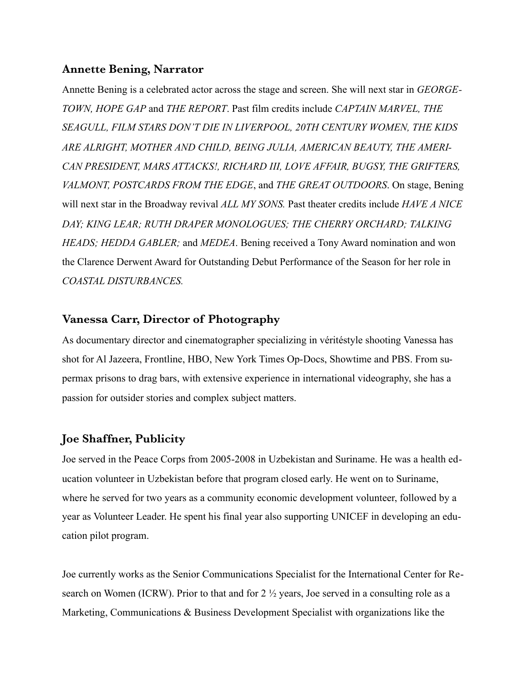#### **Annette Bening, Narrator**

Annette Bening is a celebrated actor across the stage and screen. She will next star in *GEORGE-TOWN, HOPE GAP* and *THE REPORT*. Past film credits include *CAPTAIN MARVEL, THE SEAGULL, FILM STARS DON'T DIE IN LIVERPOOL, 20TH CENTURY WOMEN, THE KIDS ARE ALRIGHT, MOTHER AND CHILD, BEING JULIA, AMERICAN BEAUTY, THE AMERI-CAN PRESIDENT, MARS ATTACKS!, RICHARD III, LOVE AFFAIR, BUGSY, THE GRIFTERS, VALMONT, POSTCARDS FROM THE EDGE*, and *THE GREAT OUTDOORS*. On stage, Bening will next star in the Broadway revival *ALL MY SONS.* Past theater credits include *HAVE A NICE DAY; KING LEAR; RUTH DRAPER MONOLOGUES; THE CHERRY ORCHARD; TALKING HEADS; HEDDA GABLER;* and *MEDEA*. Bening received a Tony Award nomination and won the Clarence Derwent Award for Outstanding Debut Performance of the Season for her role in *COASTAL DISTURBANCES.* 

#### **Vanessa Carr, Director of Photography**

As documentary director and cinematographer specializing in véritéstyle shooting Vanessa has shot for Al Jazeera, Frontline, HBO, New York Times Op-Docs, Showtime and PBS. From supermax prisons to drag bars, with extensive experience in international videography, she has a passion for outsider stories and complex subject matters.

#### **Joe Shaffner, Publicity**

Joe served in the Peace Corps from 2005-2008 in Uzbekistan and Suriname. He was a health education volunteer in Uzbekistan before that program closed early. He went on to Suriname, where he served for two years as a community economic development volunteer, followed by a year as Volunteer Leader. He spent his final year also supporting UNICEF in developing an education pilot program.

Joe currently works as the Senior Communications Specialist for the International Center for Research on Women (ICRW). Prior to that and for 2 ½ years, Joe served in a consulting role as a Marketing, Communications & Business Development Specialist with organizations like the